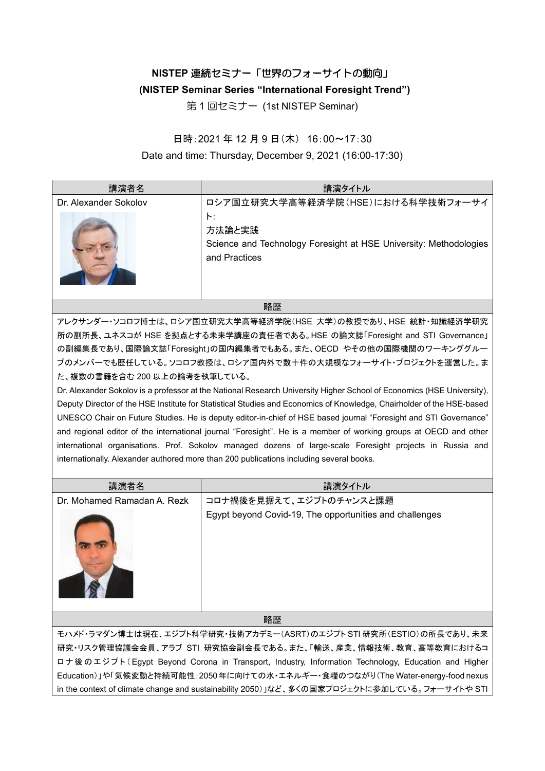# **NISTEP** 連続セミナー「世界のフォーサイトの動向」

## **(NISTEP Seminar Series "International Foresight Trend")**

第 1 回セミナー (1st NISTEP Seminar)

### 日時:2021 年 12 月 9 日(木) 16:00~17:30

### Date and time: Thursday, December 9, 2021 (16:00-17:30)

| 講演者名                  | 講演タイトル                                                                                                     |
|-----------------------|------------------------------------------------------------------------------------------------------------|
| Dr. Alexander Sokolov | ロシア国立研究大学高等経済学院(HSE)における科学技術フォーサイ                                                                          |
|                       | $\vdash$ :<br>方法論と実践<br>Science and Technology Foresight at HSE University: Methodologies<br>and Practices |

#### 略歴

アレクサンダー・ソコロフ博士は、ロシア国立研究大学高等経済学院(HSE 大学)の教授であり、HSE 統計・知識経済学研究 所の副所長、ユネスコが HSE を拠点とする未来学講座の責任者である。HSE の論文誌「Foresight and STI Governance」 の副編集長であり、国際論文誌「Foresight」の国内編集者でもある。また、OECD やその他の国際機関のワーキンググルー プのメンバーでも歴任している。ソコロフ教授は、ロシア国内外で数十件の大規模なフォーサイト・プロジェクトを運営した。ま た、複数の書籍を含む 200 以上の論考を執筆している。

Dr. Alexander Sokolov is a professor at the National Research University Higher School of Economics (HSE University), Deputy Director of the HSE Institute for Statistical Studies and Economics of Knowledge, Chairholder of the HSE-based UNESCO Chair on Future Studies. He is deputy editor-in-chief of HSE based journal "Foresight and STI Governance" and regional editor of the international journal "Foresight". He is a member of working groups at OECD and other international organisations. Prof. Sokolov managed dozens of large-scale Foresight projects in Russia and internationally. Alexander authored more than 200 publications including several books.

| 講演者名                                                              | 講演タイトル                                                  |
|-------------------------------------------------------------------|---------------------------------------------------------|
| Dr. Mohamed Ramadan A. Rezk                                       | コロナ禍後を見据えて、エジプトのチャンスと課題                                 |
|                                                                   | Egypt beyond Covid-19, The opportunities and challenges |
| 略歴                                                                |                                                         |
| モハメド・ラマダン博士は現在、エジプト科学研究・技術アカデミー(ASRT)のエジプトSTI 研究所(ESTIO)の所長であり、未来 |                                                         |
|                                                                   |                                                         |

研究・リスク管理協議会会員、アラブ STI 研究協会副会長である。また、「輸送、産業、情報技術、教育、高等教育におけるコ ロ ナ後 のエジプト( Egypt Beyond Corona in Transport, Industry, Information Technology, Education and Higher Education)」や「気候変動と持続可能性:2050年に向けての水・エネルギー・食糧のつながり(The Water-energy-food nexus in the context of climate change and sustainability 2050)」など、多くの国家プロジェクトに参加している。フォーサイトや STI